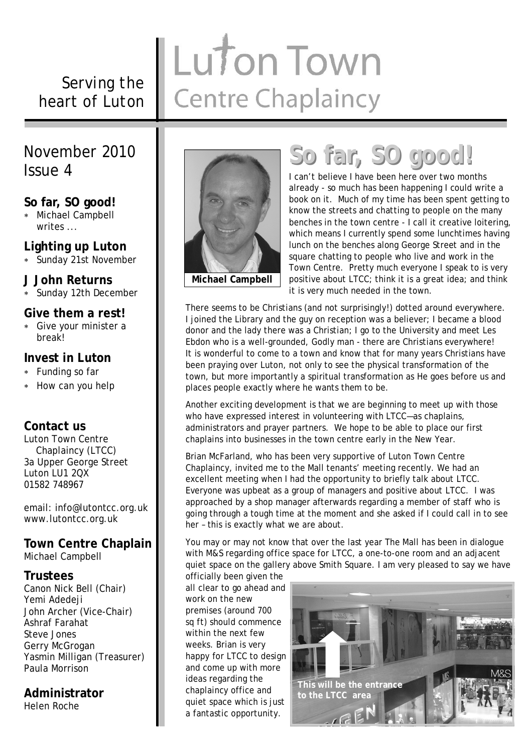#### *Serving the heart of Luton*

## Luton Town **Centre Chaplaincy**

#### November 2010 Issue 4

#### **So far, SO good!**

 Michael Campbell writes ...

#### **Lighting up Luton**

Sunday 21st November

#### **J John Returns**

Sunday 12th December

#### **Give them a rest!**

 Give your minister a break!

#### **Invest in Luton**

- Funding so far
- \* How can you help

#### **Contact us**

Luton Town Centre Chaplaincy (LTCC) 3a Upper George Street Luton LU1 2QX 01582 748967

email: info@lutontcc.org.uk www.lutontcc.org.uk

#### **Town Centre Chaplain**

Michael Campbell

#### **Trustees**

Canon Nick Bell (Chair) Yemi Adedeji John Archer (Vice-Chair) Ashraf Farahat Steve Jones Gerry McGrogan Yasmin Milligan (Treasurer) Paula Morrison

#### **Administrator**

Helen Roche



## **So far, SO good!**

I can't believe I have been here over two months already - so much has been happening I could write a book on it. Much of my time has been spent getting to know the streets and chatting to people on the many benches in the town centre - I call it creative loitering, which means I currently spend some lunchtimes having lunch on the benches along George Street and in the square chatting to people who live and work in the Town Centre. Pretty much everyone I speak to is very positive about LTCC; think it is a great idea; and think it is very much needed in the town.

There seems to be Christians (and not surprisingly!) dotted around everywhere. I joined the Library and the guy on reception was a believer; I became a blood donor and the lady there was a Christian; I go to the University and meet Les Ebdon who is a well-grounded, Godly man - there are Christians everywhere! It is wonderful to come to a town and know that for many years Christians have been praying over Luton, not only to see the physical transformation of the town, but more importantly a spiritual transformation as He goes before us and places people exactly where he wants them to be.

Another exciting development is that we are beginning to meet up with those who have expressed interest in volunteering with LTCC—as chaplains, administrators and prayer partners. We hope to be able to place our first chaplains into businesses in the town centre early in the New Year.

Brian McFarland, who has been very supportive of Luton Town Centre Chaplaincy, invited me to the Mall tenants' meeting recently. We had an excellent meeting when I had the opportunity to briefly talk about LTCC. Everyone was upbeat as a group of managers and positive about LTCC. I was approached by a shop manager afterwards regarding a member of staff who is going through a tough time at the moment and she asked if I could call in to see her – this is exactly what we are about.

You may or may not know that over the last year The Mall has been in dialogue with M&S regarding office space for LTCC, a one-to-one room and an adjacent quiet space on the gallery above Smith Square. I am very pleased to say we have

officially been given the all clear to go ahead and work on the new premises (around 700 sq ft) should commence within the next few weeks. Brian is very happy for LTCC to design and come up with more ideas regarding the chaplaincy office and quiet space which is just a fantastic opportunity.